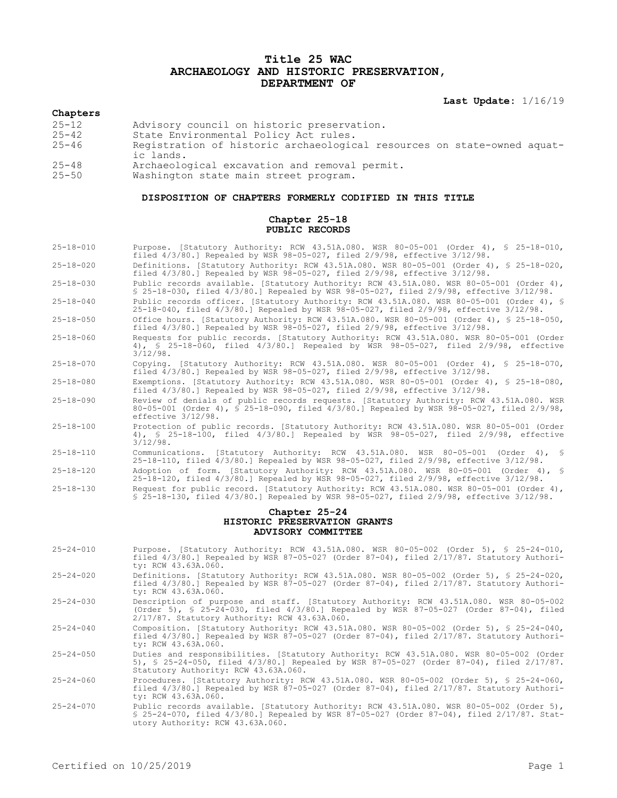## **Title 25 WAC ARCHAEOLOGY AND HISTORIC PRESERVATION, DEPARTMENT OF**

**Last Update:** 1/16/19

# **Chapters**

- 25-12 Advisory council on historic preservation.<br>25-42 State Environmental Policy Act rules.
- 25-42 State Environmental Policy Act rules.<br>25-46 Registration of historic archaeologic
- Registration of historic archaeological resources on state-owned aquatic lands.
- 25-48 Archaeological excavation and removal permit.
- Washington state main street program.

### **DISPOSITION OF CHAPTERS FORMERLY CODIFIED IN THIS TITLE**

#### **Chapter 25-18 PUBLIC RECORDS**

| $25 - 18 - 010$                                    | Purpose. [Statutory Authority: RCW 43.51A.080. WSR 80-05-001 (Order 4), § 25-18-010,<br>filed $4/3/80$ .] Repealed by WSR 98-05-027, filed $2/9/98$ , effective $3/12/98$ .                                                     |
|----------------------------------------------------|---------------------------------------------------------------------------------------------------------------------------------------------------------------------------------------------------------------------------------|
| $25 - 18 - 020$                                    | Definitions. [Statutory Authority: RCW 43.51A.080. WSR 80-05-001 (Order 4), § 25-18-020,<br>filed $4/3/80$ .] Repealed by WSR 98-05-027, filed $2/9/98$ , effective $3/12/98$ .                                                 |
| $25 - 18 - 030$                                    | Public records available. [Statutory Authority: RCW 43.51A.080. WSR 80-05-001 (Order 4),<br>\$ 25-18-030, filed 4/3/80.] Repealed by WSR 98-05-027, filed 2/9/98, effective 3/12/98.                                            |
| $25 - 18 - 040$                                    | Public records officer. [Statutory Authority: RCW 43.51A.080. WSR 80-05-001 (Order 4), §<br>25-18-040, filed 4/3/80.] Repealed by WSR 98-05-027, filed 2/9/98, effective 3/12/98.                                               |
| $25 - 18 - 050$                                    | Office hours. [Statutory Authority: RCW 43.51A.080. WSR 80-05-001 (Order 4), § 25-18-050,<br>filed $4/3/80$ .] Repealed by WSR 98-05-027, filed $2/9/98$ , effective $3/12/98$ .                                                |
| $25 - 18 - 060$                                    | Requests for public records. [Statutory Authority: RCW 43.51A.080. WSR 80-05-001 (Order<br>4), § 25-18-060, filed 4/3/80.] Repealed by WSR 98-05-027, filed 2/9/98, effective<br>$3/12/98$ .                                    |
| $25 - 18 - 070$                                    | Copying. [Statutory Authority: RCW 43.51A.080. WSR 80-05-001 (Order 4), $\frac{1}{5}$ 25-18-070,<br>filed 4/3/80.] Repealed by WSR 98-05-027, filed 2/9/98, effective 3/12/98.                                                  |
| $25 - 18 - 080$                                    | Exemptions. [Statutory Authority: RCW 43.51A.080. WSR 80-05-001 (Order 4), § 25-18-080,<br>filed $4/3/80$ .] Repealed by WSR 98-05-027, filed $2/9/98$ , effective $3/12/98$ .                                                  |
| $25 - 18 - 090$                                    | Review of denials of public records requests. [Statutory Authority: RCW 43.51A.080. WSR<br>80-05-001 (Order 4), § 25-18-090, filed 4/3/80.] Repealed by WSR 98-05-027, filed 2/9/98,<br>effective 3/12/98.                      |
| $25 - 18 - 100$                                    | Protection of public records. [Statutory Authority: RCW 43.51A.080. WSR 80-05-001 (Order<br>4), § 25-18-100, filed 4/3/80.] Repealed by WSR 98-05-027, filed 2/9/98, effective<br>$3/12/98$ .                                   |
| $25 - 18 - 110$                                    | Communications. [Statutory Authority: RCW 43.51A.080. WSR 80-05-001 (Order 4), §<br>25-18-110, filed 4/3/80.] Repealed by WSR 98-05-027, filed 2/9/98, effective 3/12/98.                                                       |
| $25 - 18 - 120$                                    | Adoption of form. [Statutory Authority: RCW 43.51A.080. WSR 80-05-001 (Order 4), §<br>25-18-120, filed 4/3/80.] Repealed by WSR 98-05-027, filed 2/9/98, effective 3/12/98.                                                     |
| $25 - 18 - 130$                                    | Request for public record. [Statutory Authority: RCW 43.51A.080. WSR 80-05-001 (Order 4),<br>$$25-18-130$ , filed $4/3/80$ . Repealed by WSR 98-05-027, filed $2/9/98$ , effective $3/12/98$ .                                  |
| Chapter 25-24                                      |                                                                                                                                                                                                                                 |
| HISTORIC PRESERVATION GRANTS<br>ADVISORY COMMITTEE |                                                                                                                                                                                                                                 |
| $25 - 24 - 010$                                    | Purpose. [Statutory Authority: RCW 43.51A.080. WSR 80-05-002 (Order 5), \$ 25-24-010,<br>filed 4/3/80.] Repealed by WSR 87-05-027 (Order 87-04), filed 2/17/87. Statutory Authori-<br>ty: RCW 43.63A.060.                       |
| $25 - 24 - 020$                                    | Definitions. [Statutory Authority: RCW 43.51A.080. WSR 80-05-002 (Order 5), § 25-24-020,<br>filed 4/3/80.] Repealed by WSR 87-05-027 (Order 87-04), filed 2/17/87. Statutory Authori-<br>ty: RCW 43.63A.060.                    |
| $25 - 24 - 030$                                    | Description of purpose and staff. [Statutory Authority: RCW 43.51A.080. WSR 80-05-002<br>(Order 5), § 25-24-030, filed 4/3/80.] Repealed by WSR 87-05-027 (Order 87-04), filed<br>2/17/87. Statutory Authority: RCW 43.63A.060. |
| $25 - 24 - 040$                                    | Composition. [Statutory Authority: RCW 43.51A.080. WSR 80-05-002 (Order 5), § 25-24-040,<br>filed 4/3/80.] Repealed by WSR 87-05-027 (Order 87-04), filed 2/17/87. Statutory Authori-<br>ty: RCW 43.63A.060.                    |
| $25 - 24 - 050$                                    | Duties and responsibilities. [Statutory Authority: RCW 43.51A.080. WSR 80-05-002 (Order<br>5), § 25-24-050, filed 4/3/80.] Repealed by WSR 87-05-027 (Order 87-04), filed 2/17/87.<br>Statutory Authority: RCW 43.63A.060.      |
| $25 - 24 - 060$                                    | Procedures. [Statutory Authority: RCW 43.51A.080. WSR 80-05-002 (Order 5), § 25-24-060,<br>filed $4/3/80$ . Repealed by WSR 87-05-027 (Order 87-04), filed $2/17/87$ . Statutory Authori-<br>ty: RCW 43.63A.060.                |
| $25 - 24 - 070$                                    | Public records available. [Statutory Authority: RCW 43.51A.080. WSR 80-05-002 (Order 5),<br>\$ 25-24-070, filed 4/3/80.] Repealed by WSR 87-05-027 (Order 87-04), filed 2/17/87. Stat-<br>utory Authority: RCW 43.63A.060.      |